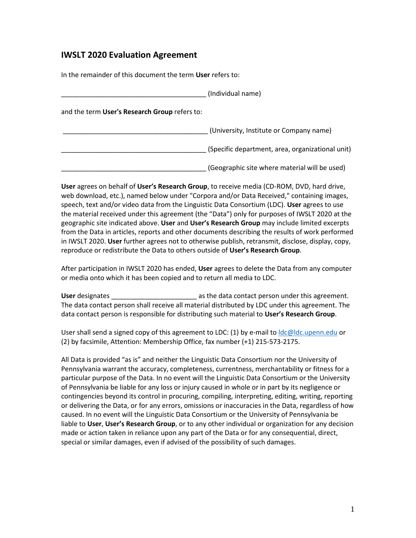## **IWSLT 2020 Evaluation Agreement**

In the remainder of this document the term **User** refers to:

|                                               | (Individual name)                                |
|-----------------------------------------------|--------------------------------------------------|
| and the term User's Research Group refers to: |                                                  |
|                                               | (University, Institute or Company name)          |
|                                               | (Specific department, area, organizational unit) |
|                                               | (Geographic site where material will be used)    |

**User** agrees on behalf of **User's Research Group**, to receive media (CD-ROM, DVD, hard drive, web download, etc.), named below under "Corpora and/or Data Received," containing images, speech, text and/or video data from the Linguistic Data Consortium (LDC). **User** agrees to use the material received under this agreement (the "Data") only for purposes of IWSLT 2020 at the geographic site indicated above. **User** and **User's Research Group** may include limited excerpts from the Data in articles, reports and other documents describing the results of work performed in IWSLT 2020. **User** further agrees not to otherwise publish, retransmit, disclose, display, copy, reproduce or redistribute the Data to others outside of **User's Research Group**.

After participation in IWSLT 2020 has ended, **User** agrees to delete the Data from any computer or media onto which it has been copied and to return all media to LDC.

User designates **User** designates **a** as the data contact person under this agreement. The data contact person shall receive all material distributed by LDC under this agreement. The data contact person is responsible for distributing such material to **User's Research Group**.

User shall send a signed copy of this agreement to LDC: (1) by e-mail to  $\text{Idc@ldc.upenn.edu}$  or (2) by facsimile, Attention: Membership Office, fax number (+1) 215-573-2175.

All Data is provided "as is" and neither the Linguistic Data Consortium nor the University of Pennsylvania warrant the accuracy, completeness, currentness, merchantability or fitness for a particular purpose of the Data. In no event will the Linguistic Data Consortium or the University of Pennsylvania be liable for any loss or injury caused in whole or in part by its negligence or contingencies beyond its control in procuring, compiling, interpreting, editing, writing, reporting or delivering the Data, or for any errors, omissions or inaccuracies in the Data, regardless of how caused. In no event will the Linguistic Data Consortium or the University of Pennsylvania be liable to **User**, **User's Research Group**, or to any other individual or organization for any decision made or action taken in reliance upon any part of the Data or for any consequential, direct, special or similar damages, even if advised of the possibility of such damages.